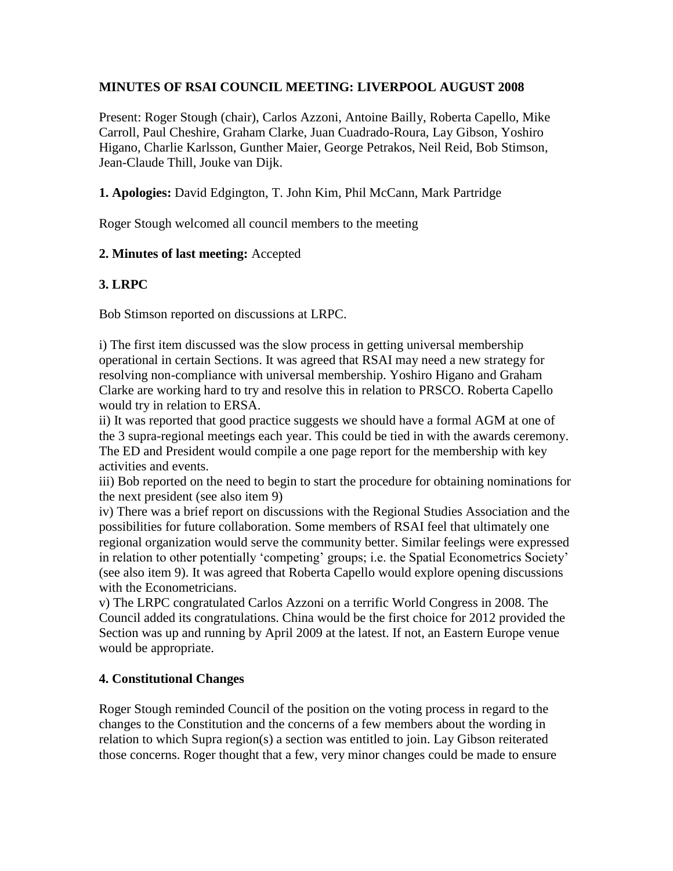# **MINUTES OF RSAI COUNCIL MEETING: LIVERPOOL AUGUST 2008**

Present: Roger Stough (chair), Carlos Azzoni, Antoine Bailly, Roberta Capello, Mike Carroll, Paul Cheshire, Graham Clarke, Juan Cuadrado-Roura, Lay Gibson, Yoshiro Higano, Charlie Karlsson, Gunther Maier, George Petrakos, Neil Reid, Bob Stimson, Jean-Claude Thill, Jouke van Dijk.

## **1. Apologies:** David Edgington, T. John Kim, Phil McCann, Mark Partridge

Roger Stough welcomed all council members to the meeting

# **2. Minutes of last meeting:** Accepted

# **3. LRPC**

Bob Stimson reported on discussions at LRPC.

i) The first item discussed was the slow process in getting universal membership operational in certain Sections. It was agreed that RSAI may need a new strategy for resolving non-compliance with universal membership. Yoshiro Higano and Graham Clarke are working hard to try and resolve this in relation to PRSCO. Roberta Capello would try in relation to ERSA.

ii) It was reported that good practice suggests we should have a formal AGM at one of the 3 supra-regional meetings each year. This could be tied in with the awards ceremony. The ED and President would compile a one page report for the membership with key activities and events.

iii) Bob reported on the need to begin to start the procedure for obtaining nominations for the next president (see also item 9)

iv) There was a brief report on discussions with the Regional Studies Association and the possibilities for future collaboration. Some members of RSAI feel that ultimately one regional organization would serve the community better. Similar feelings were expressed in relation to other potentially 'competing' groups; i.e. the Spatial Econometrics Society' (see also item 9). It was agreed that Roberta Capello would explore opening discussions with the Econometricians.

v) The LRPC congratulated Carlos Azzoni on a terrific World Congress in 2008. The Council added its congratulations. China would be the first choice for 2012 provided the Section was up and running by April 2009 at the latest. If not, an Eastern Europe venue would be appropriate.

# **4. Constitutional Changes**

Roger Stough reminded Council of the position on the voting process in regard to the changes to the Constitution and the concerns of a few members about the wording in relation to which Supra region(s) a section was entitled to join. Lay Gibson reiterated those concerns. Roger thought that a few, very minor changes could be made to ensure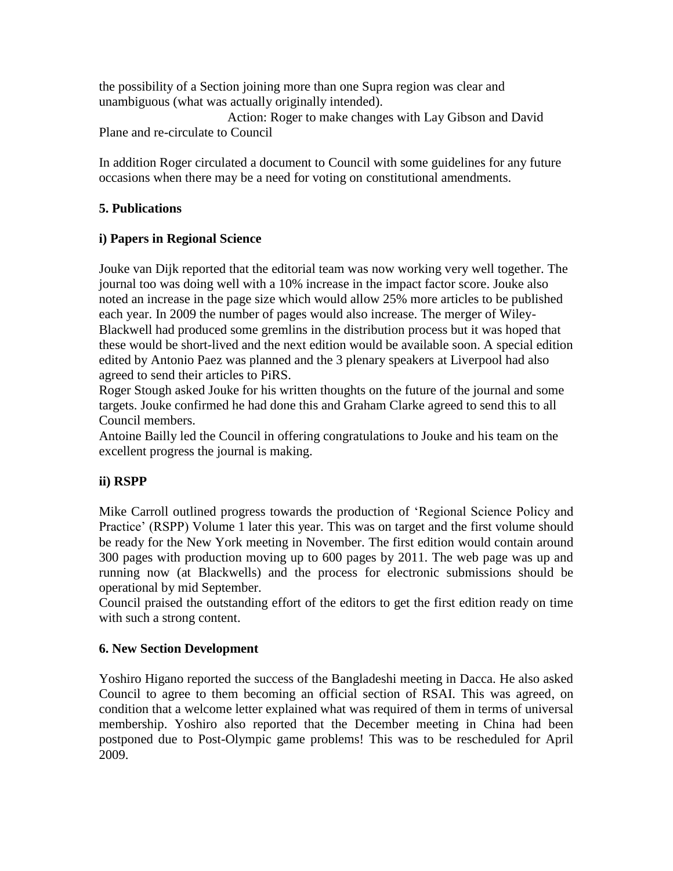the possibility of a Section joining more than one Supra region was clear and unambiguous (what was actually originally intended).

 Action: Roger to make changes with Lay Gibson and David Plane and re-circulate to Council

In addition Roger circulated a document to Council with some guidelines for any future occasions when there may be a need for voting on constitutional amendments.

# **5. Publications**

# **i) Papers in Regional Science**

Jouke van Dijk reported that the editorial team was now working very well together. The journal too was doing well with a 10% increase in the impact factor score. Jouke also noted an increase in the page size which would allow 25% more articles to be published each year. In 2009 the number of pages would also increase. The merger of Wiley-Blackwell had produced some gremlins in the distribution process but it was hoped that these would be short-lived and the next edition would be available soon. A special edition edited by Antonio Paez was planned and the 3 plenary speakers at Liverpool had also agreed to send their articles to PiRS.

Roger Stough asked Jouke for his written thoughts on the future of the journal and some targets. Jouke confirmed he had done this and Graham Clarke agreed to send this to all Council members.

Antoine Bailly led the Council in offering congratulations to Jouke and his team on the excellent progress the journal is making.

### **ii) RSPP**

Mike Carroll outlined progress towards the production of 'Regional Science Policy and Practice' (RSPP) Volume 1 later this year. This was on target and the first volume should be ready for the New York meeting in November. The first edition would contain around 300 pages with production moving up to 600 pages by 2011. The web page was up and running now (at Blackwells) and the process for electronic submissions should be operational by mid September.

Council praised the outstanding effort of the editors to get the first edition ready on time with such a strong content.

### **6. New Section Development**

Yoshiro Higano reported the success of the Bangladeshi meeting in Dacca. He also asked Council to agree to them becoming an official section of RSAI. This was agreed, on condition that a welcome letter explained what was required of them in terms of universal membership. Yoshiro also reported that the December meeting in China had been postponed due to Post-Olympic game problems! This was to be rescheduled for April 2009.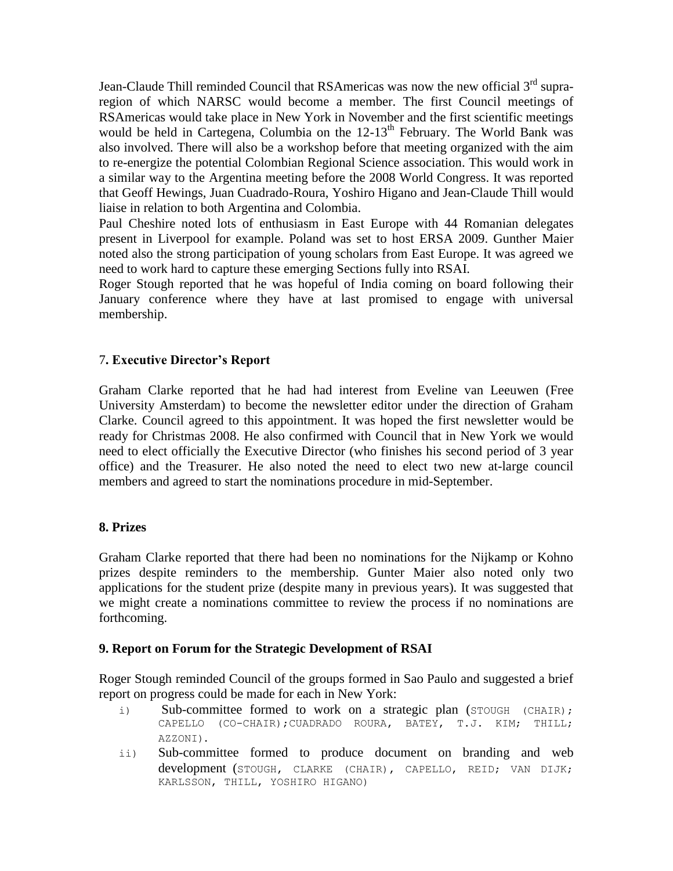Jean-Claude Thill reminded Council that RSAmericas was now the new official 3<sup>rd</sup> supraregion of which NARSC would become a member. The first Council meetings of RSAmericas would take place in New York in November and the first scientific meetings would be held in Cartegena, Columbia on the 12-13<sup>th</sup> February. The World Bank was also involved. There will also be a workshop before that meeting organized with the aim to re-energize the potential Colombian Regional Science association. This would work in a similar way to the Argentina meeting before the 2008 World Congress. It was reported that Geoff Hewings, Juan Cuadrado-Roura, Yoshiro Higano and Jean-Claude Thill would liaise in relation to both Argentina and Colombia.

Paul Cheshire noted lots of enthusiasm in East Europe with 44 Romanian delegates present in Liverpool for example. Poland was set to host ERSA 2009. Gunther Maier noted also the strong participation of young scholars from East Europe. It was agreed we need to work hard to capture these emerging Sections fully into RSAI.

Roger Stough reported that he was hopeful of India coming on board following their January conference where they have at last promised to engage with universal membership.

### 7**. Executive Director's Report**

Graham Clarke reported that he had had interest from Eveline van Leeuwen (Free University Amsterdam) to become the newsletter editor under the direction of Graham Clarke. Council agreed to this appointment. It was hoped the first newsletter would be ready for Christmas 2008. He also confirmed with Council that in New York we would need to elect officially the Executive Director (who finishes his second period of 3 year office) and the Treasurer. He also noted the need to elect two new at-large council members and agreed to start the nominations procedure in mid-September.

#### **8. Prizes**

Graham Clarke reported that there had been no nominations for the Nijkamp or Kohno prizes despite reminders to the membership. Gunter Maier also noted only two applications for the student prize (despite many in previous years). It was suggested that we might create a nominations committee to review the process if no nominations are forthcoming.

#### **9. Report on Forum for the Strategic Development of RSAI**

Roger Stough reminded Council of the groups formed in Sao Paulo and suggested a brief report on progress could be made for each in New York:

- i) Sub-committee formed to work on a strategic plan (STOUGH (CHAIR); CAPELLO (CO-CHAIR);CUADRADO ROURA, BATEY, T.J. KIM; THILL; AZZONI).
- ii) Sub-committee formed to produce document on branding and web development (STOUGH, CLARKE (CHAIR), CAPELLO, REID; VAN DIJK; KARLSSON, THILL, YOSHIRO HIGANO)